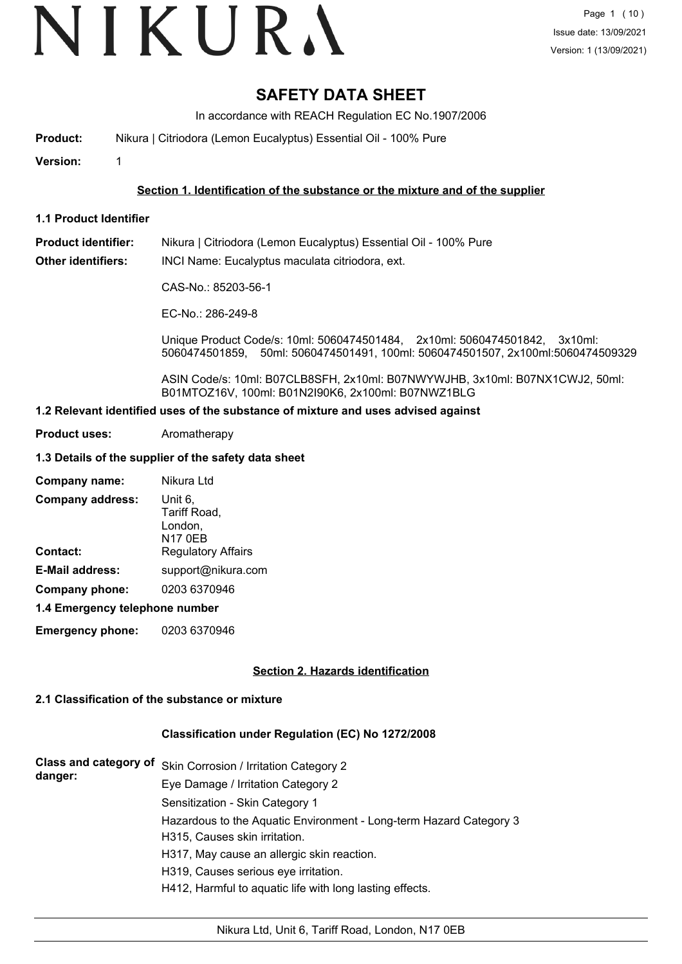# VIKURA

# **SAFETY DATA SHEET**

In accordance with REACH Regulation EC No.1907/2006

**Product:** Nikura | Citriodora (Lemon Eucalyptus) Essential Oil - 100% Pure

**Version:** 1

### **Section 1. Identification of the substance or the mixture and of the supplier**

**1.1 Product Identifier**

**Product identifier:** Nikura | Citriodora (Lemon Eucalyptus) Essential Oil - 100% Pure

**Other identifiers:** INCI Name: Eucalyptus maculata citriodora, ext.

CAS-No.: 85203-56-1

EC-No.: 286-249-8

Unique Product Code/s: 10ml: 5060474501484, 2x10ml: 5060474501842, 3x10ml: 5060474501859, 50ml: 5060474501491, 100ml: 5060474501507, 2x100ml:5060474509329

ASIN Code/s: 10ml: B07CLB8SFH, 2x10ml: B07NWYWJHB, 3x10ml: B07NX1CWJ2, 50ml: B01MTOZ16V, 100ml: B01N2I90K6, 2x100ml: B07NWZ1BLG

#### **1.2 Relevant identified uses of the substance of mixture and uses advised against**

**Product uses:** Aromatherapy

### **1.3 Details of the supplier of the safety data sheet**

| <b>Company address:</b><br>Unit 6,<br>Tariff Road,<br>London.<br><b>N17 0EB</b><br><b>Regulatory Affairs</b><br>Contact:<br>E-Mail address:<br>support@nikura.com<br>Company phone:<br>0203 6370946<br>1.4 Emergency telephone number | Company name: | Nikura Ltd |  |
|---------------------------------------------------------------------------------------------------------------------------------------------------------------------------------------------------------------------------------------|---------------|------------|--|
|                                                                                                                                                                                                                                       |               |            |  |
|                                                                                                                                                                                                                                       |               |            |  |
|                                                                                                                                                                                                                                       |               |            |  |
|                                                                                                                                                                                                                                       |               |            |  |
|                                                                                                                                                                                                                                       |               |            |  |

**Emergency phone:** 0203 6370946

### **Section 2. Hazards identification**

### **2.1 Classification of the substance or mixture**

### **Classification under Regulation (EC) No 1272/2008**

| danger: | Class and category of Skin Corrosion / Irritation Category 2       |
|---------|--------------------------------------------------------------------|
|         | Eye Damage / Irritation Category 2                                 |
|         | Sensitization - Skin Category 1                                    |
|         | Hazardous to the Aquatic Environment - Long-term Hazard Category 3 |
|         | H315, Causes skin irritation.                                      |
|         | H317, May cause an allergic skin reaction.                         |
|         | H319, Causes serious eye irritation.                               |
|         | H412, Harmful to aquatic life with long lasting effects.           |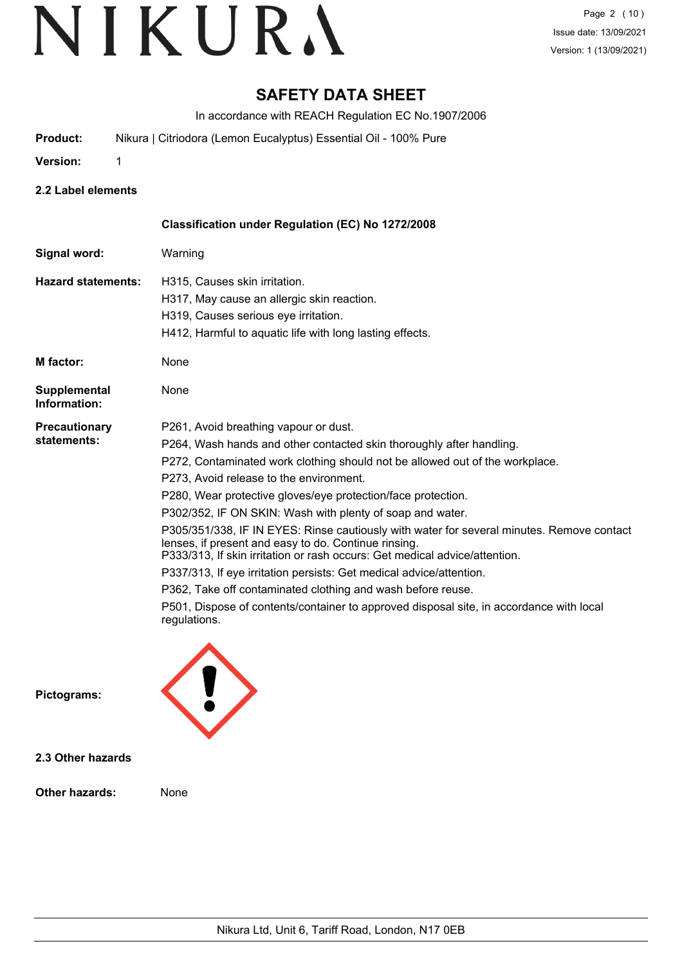# **SAFETY DATA SHEET**

In accordance with REACH Regulation EC No.1907/2006

- **Product:** Nikura | Citriodora (Lemon Eucalyptus) Essential Oil 100% Pure
- **Version:** 1
- 
- **2.2 Label elements**

|                              | Classification under Regulation (EC) No 1272/2008                                                                                                                                                                               |
|------------------------------|---------------------------------------------------------------------------------------------------------------------------------------------------------------------------------------------------------------------------------|
| Signal word:                 | Warning                                                                                                                                                                                                                         |
| <b>Hazard statements:</b>    | H315, Causes skin irritation.                                                                                                                                                                                                   |
|                              | H317, May cause an allergic skin reaction.                                                                                                                                                                                      |
|                              | H319, Causes serious eye irritation.                                                                                                                                                                                            |
|                              | H412, Harmful to aquatic life with long lasting effects.                                                                                                                                                                        |
| M factor:                    | None                                                                                                                                                                                                                            |
| Supplemental<br>Information: | None                                                                                                                                                                                                                            |
| <b>Precautionary</b>         | P261, Avoid breathing vapour or dust.                                                                                                                                                                                           |
| statements:                  | P264, Wash hands and other contacted skin thoroughly after handling.                                                                                                                                                            |
|                              | P272, Contaminated work clothing should not be allowed out of the workplace.                                                                                                                                                    |
|                              | P273, Avoid release to the environment.                                                                                                                                                                                         |
|                              | P280, Wear protective gloves/eye protection/face protection.                                                                                                                                                                    |
|                              | P302/352, IF ON SKIN: Wash with plenty of soap and water.                                                                                                                                                                       |
|                              | P305/351/338, IF IN EYES: Rinse cautiously with water for several minutes. Remove contact<br>lenses, if present and easy to do. Continue rinsing.<br>P333/313, If skin irritation or rash occurs: Get medical advice/attention. |
|                              | P337/313, If eye irritation persists: Get medical advice/attention.                                                                                                                                                             |
|                              | P362, Take off contaminated clothing and wash before reuse.                                                                                                                                                                     |
|                              | P501, Dispose of contents/container to approved disposal site, in accordance with local<br>regulations.                                                                                                                         |
| Pictograms:                  |                                                                                                                                                                                                                                 |

**2.3 Other hazards**

**Other hazards:** None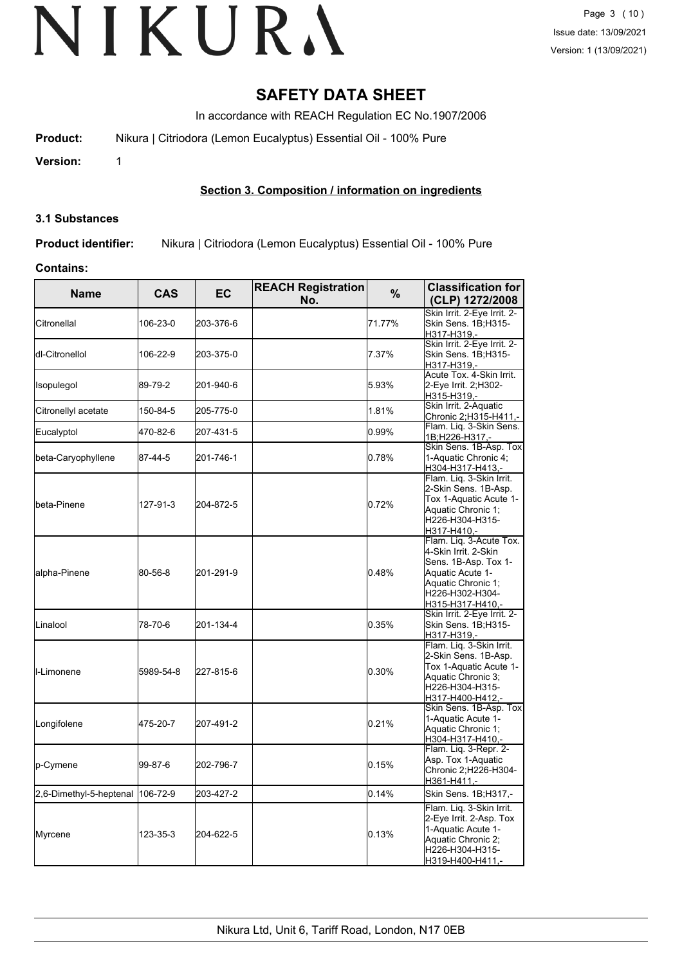# **SAFETY DATA SHEET**

In accordance with REACH Regulation EC No.1907/2006

**Product:** Nikura | Citriodora (Lemon Eucalyptus) Essential Oil - 100% Pure

**Version:** 1

# **Section 3. Composition / information on ingredients**

#### **3.1 Substances**

**Product identifier:** Nikura | Citriodora (Lemon Eucalyptus) Essential Oil - 100% Pure

#### **Contains:**

| <b>Name</b>                      | <b>CAS</b> | <b>EC</b> | <b>REACH Registration</b><br>No. | %      | <b>Classification for</b><br>(CLP) 1272/2008                                                                                                             |
|----------------------------------|------------|-----------|----------------------------------|--------|----------------------------------------------------------------------------------------------------------------------------------------------------------|
| Citronellal                      | 106-23-0   | 203-376-6 |                                  | 71.77% | Skin Irrit. 2-Eye Irrit. 2-<br><b>Skin Sens. 1B:H315-</b><br>H317-H319.-                                                                                 |
| dl-Citronellol                   | 106-22-9   | 203-375-0 |                                  | 7.37%  | Skin Irrit. 2-Eye Irrit. 2-<br>Skin Sens. 1B;H315-<br>H317-H319.-                                                                                        |
| Isopulegol                       | 89-79-2    | 201-940-6 |                                  | 5.93%  | Acute Tox. 4-Skin Irrit.<br>2-Eye Irrit. 2;H302-<br>H315-H319,-                                                                                          |
| Citronellyl acetate              | 150-84-5   | 205-775-0 |                                  | 1.81%  | Skin Irrit. 2-Aquatic<br>Chronic 2; H315-H411,-                                                                                                          |
| Eucalyptol                       | 470-82-6   | 207-431-5 |                                  | 0.99%  | Flam. Liq. 3-Skin Sens.<br>1B;H226-H317,-                                                                                                                |
| beta-Caryophyllene               | 87-44-5    | 201-746-1 |                                  | 0.78%  | Skin Sens. 1B-Asp. Tox<br>1-Aquatic Chronic 4;<br>H304-H317-H413,-                                                                                       |
| beta-Pinene                      | 127-91-3   | 204-872-5 |                                  | 0.72%  | Flam. Liq. 3-Skin Irrit.<br>2-Skin Sens. 1B-Asp.<br>Tox 1-Aquatic Acute 1-<br>Aquatic Chronic 1;<br>H226-H304-H315-<br>H317-H410,-                       |
| alpha-Pinene                     | 80-56-8    | 201-291-9 |                                  | 0.48%  | Flam. Liq. 3-Acute Tox.<br>4-Skin Irrit. 2-Skin<br>Sens. 1B-Asp. Tox 1-<br>Aquatic Acute 1-<br>Aquatic Chronic 1;<br>H226-H302-H304-<br>H315-H317-H410,- |
| Linalool                         | 78-70-6    | 201-134-4 |                                  | 0.35%  | Skin Irrit. 2-Eye Irrit. 2-<br>Skin Sens. 1B;H315-<br>H317-H319,-                                                                                        |
| ll-Limonene                      | 5989-54-8  | 227-815-6 |                                  | 0.30%  | Flam. Liq. 3-Skin Irrit.<br>2-Skin Sens. 1B-Asp.<br>Tox 1-Aquatic Acute 1-<br>Aquatic Chronic 3;<br>H226-H304-H315-<br>H317-H400-H412,-                  |
| Longifolene                      | 475-20-7   | 207-491-2 |                                  | 0.21%  | Skin Sens. 1B-Asp. Tox<br>1-Aquatic Acute 1-<br>Aquatic Chronic 1;<br>H304-H317-H410,-                                                                   |
| p-Cymene                         | 99-87-6    | 202-796-7 |                                  | 0.15%  | Flam. Liq. 3-Repr. 2-<br>Asp. Tox 1-Aquatic<br>Chronic 2;H226-H304-<br>H361-H411,-                                                                       |
| 2,6-Dimethyl-5-heptenal 106-72-9 |            | 203-427-2 |                                  | 0.14%  | Skin Sens. 1B;H317,-                                                                                                                                     |
| Myrcene                          | 123-35-3   | 204-622-5 |                                  | 0.13%  | Flam. Liq. 3-Skin Irrit.<br>2-Eye Irrit. 2-Asp. Tox<br>1-Aquatic Acute 1-<br>Aquatic Chronic 2;<br>H226-H304-H315-<br>H319-H400-H411,-                   |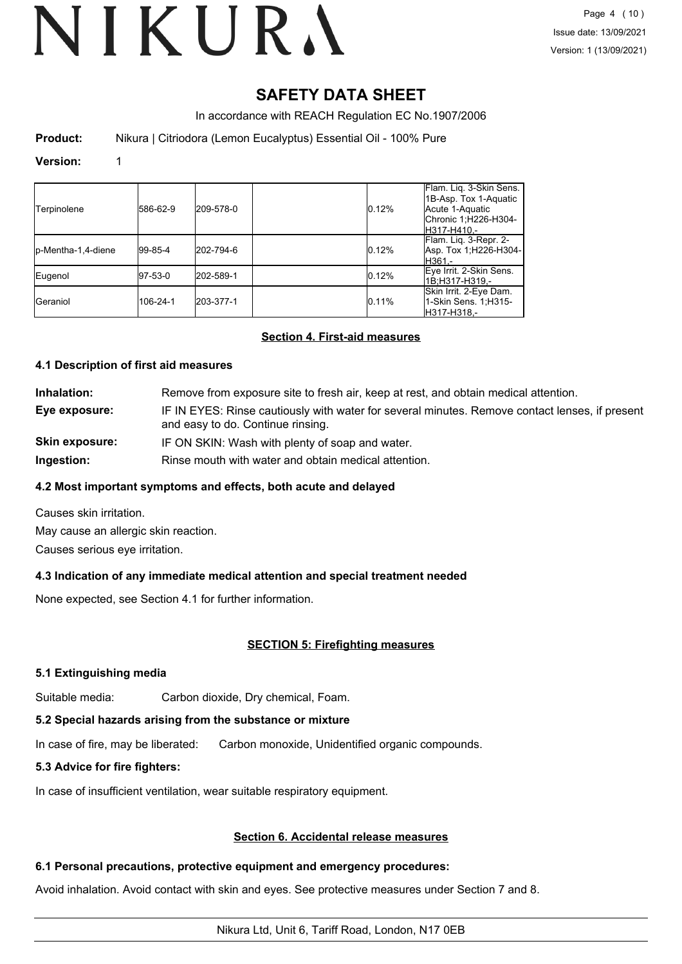# **SAFETY DATA SHEET**

In accordance with REACH Regulation EC No.1907/2006

**Product:** Nikura | Citriodora (Lemon Eucalyptus) Essential Oil - 100% Pure

#### **Version:** 1

| Terpinolene         | 586-62-9 | 209-578-0 | 0.12% | Flam. Lig. 3-Skin Sens.<br>1B-Asp. Tox 1-Aquatic<br>Acute 1-Aquatic<br>Chronic 1;H226-H304-<br>H317-H410.- |
|---------------------|----------|-----------|-------|------------------------------------------------------------------------------------------------------------|
| lp-Mentha-1,4-diene | 99-85-4  | 202-794-6 | 0.12% | Flam. Lig. 3-Repr. 2-<br> Asp. Tox 1;H226-H304- <br>lH361.-                                                |
| Eugenol             | 97-53-0  | 202-589-1 | 0.12% | Eye Irrit. 2-Skin Sens.<br>1B:H317-H319.-                                                                  |
| <b>I</b> Geraniol   | 106-24-1 | 203-377-1 | 0.11% | Skin Irrit. 2-Eye Dam.<br>1-Skin Sens. 1; H315-<br>lH317-H318.-                                            |

### **Section 4. First-aid measures**

### **4.1 Description of first aid measures**

**Inhalation:** Remove from exposure site to fresh air, keep at rest, and obtain medical attention. **Eye exposure:** IF IN EYES: Rinse cautiously with water for several minutes. Remove contact lenses, if present and easy to do. Continue rinsing. **Skin exposure:** IF ON SKIN: Wash with plenty of soap and water.

**Ingestion:** Rinse mouth with water and obtain medical attention.

### **4.2 Most important symptoms and effects, both acute and delayed**

Causes skin irritation.

May cause an allergic skin reaction.

Causes serious eye irritation.

# **4.3 Indication of any immediate medical attention and special treatment needed**

None expected, see Section 4.1 for further information.

### **SECTION 5: Firefighting measures**

### **5.1 Extinguishing media**

Suitable media: Carbon dioxide, Dry chemical, Foam.

# **5.2 Special hazards arising from the substance or mixture**

In case of fire, may be liberated: Carbon monoxide, Unidentified organic compounds.

# **5.3 Advice for fire fighters:**

In case of insufficient ventilation, wear suitable respiratory equipment.

# **Section 6. Accidental release measures**

# **6.1 Personal precautions, protective equipment and emergency procedures:**

Avoid inhalation. Avoid contact with skin and eyes. See protective measures under Section 7 and 8.

# Nikura Ltd, Unit 6, Tariff Road, London, N17 0EB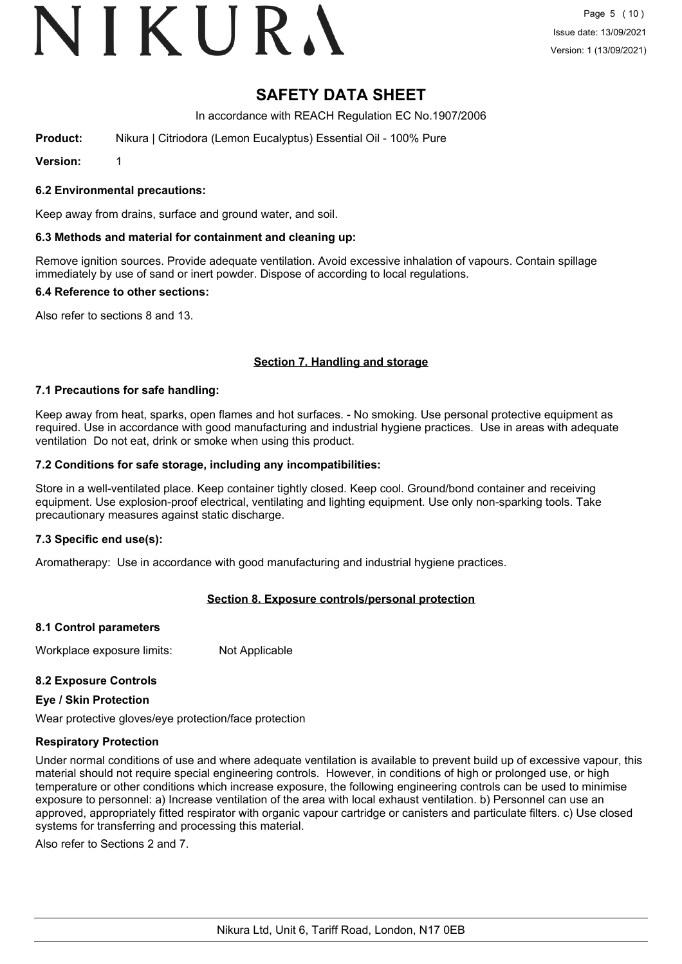# VIKURA

# **SAFETY DATA SHEET**

In accordance with REACH Regulation EC No.1907/2006

**Product:** Nikura | Citriodora (Lemon Eucalyptus) Essential Oil - 100% Pure

**Version:** 1

# **6.2 Environmental precautions:**

Keep away from drains, surface and ground water, and soil.

# **6.3 Methods and material for containment and cleaning up:**

Remove ignition sources. Provide adequate ventilation. Avoid excessive inhalation of vapours. Contain spillage immediately by use of sand or inert powder. Dispose of according to local regulations.

# **6.4 Reference to other sections:**

Also refer to sections 8 and 13.

# **Section 7. Handling and storage**

# **7.1 Precautions for safe handling:**

Keep away from heat, sparks, open flames and hot surfaces. - No smoking. Use personal protective equipment as required. Use in accordance with good manufacturing and industrial hygiene practices. Use in areas with adequate ventilation Do not eat, drink or smoke when using this product.

# **7.2 Conditions for safe storage, including any incompatibilities:**

Store in a well-ventilated place. Keep container tightly closed. Keep cool. Ground/bond container and receiving equipment. Use explosion-proof electrical, ventilating and lighting equipment. Use only non-sparking tools. Take precautionary measures against static discharge.

# **7.3 Specific end use(s):**

Aromatherapy: Use in accordance with good manufacturing and industrial hygiene practices.

# **Section 8. Exposure controls/personal protection**

# **8.1 Control parameters**

Workplace exposure limits: Not Applicable

# **8.2 Exposure Controls**

# **Eye / Skin Protection**

Wear protective gloves/eye protection/face protection

# **Respiratory Protection**

Under normal conditions of use and where adequate ventilation is available to prevent build up of excessive vapour, this material should not require special engineering controls. However, in conditions of high or prolonged use, or high temperature or other conditions which increase exposure, the following engineering controls can be used to minimise exposure to personnel: a) Increase ventilation of the area with local exhaust ventilation. b) Personnel can use an approved, appropriately fitted respirator with organic vapour cartridge or canisters and particulate filters. c) Use closed systems for transferring and processing this material.

Also refer to Sections 2 and 7.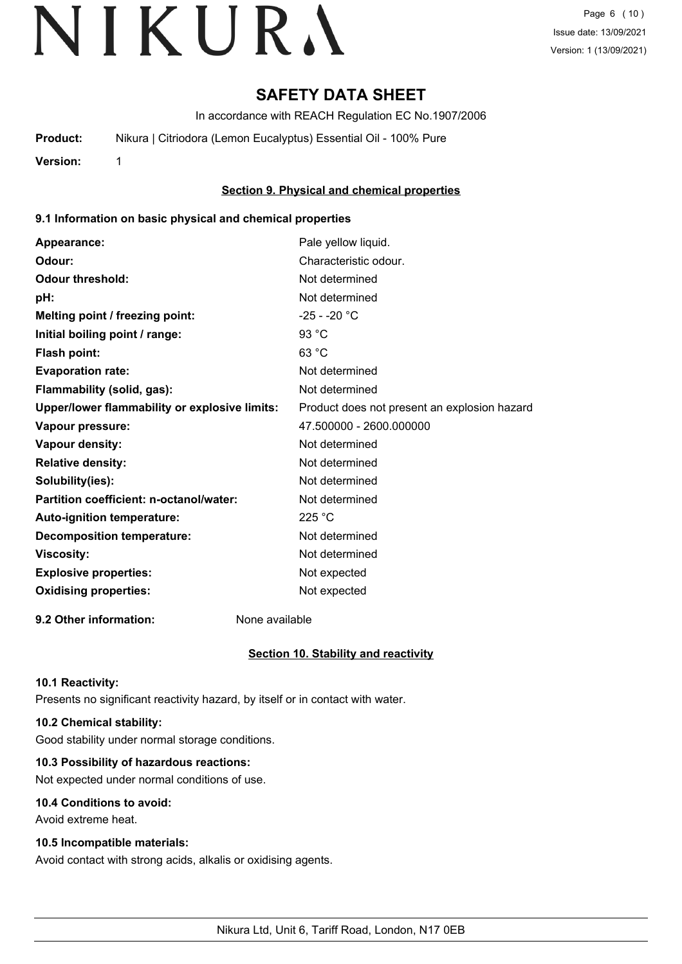# **SAFETY DATA SHEET**

In accordance with REACH Regulation EC No.1907/2006

**Product:** Nikura | Citriodora (Lemon Eucalyptus) Essential Oil - 100% Pure

**Version:** 1

# **Section 9. Physical and chemical properties**

### **9.1 Information on basic physical and chemical properties**

| Appearance:                                   | Pale yellow liquid.                          |
|-----------------------------------------------|----------------------------------------------|
| Odour:                                        | Characteristic odour.                        |
| <b>Odour threshold:</b>                       | Not determined                               |
| pH:                                           | Not determined                               |
| Melting point / freezing point:               | $-25 - -20$ °C                               |
| Initial boiling point / range:                | 93 °C                                        |
| Flash point:                                  | 63 °C                                        |
| <b>Evaporation rate:</b>                      | Not determined                               |
| Flammability (solid, gas):                    | Not determined                               |
| Upper/lower flammability or explosive limits: | Product does not present an explosion hazard |
| Vapour pressure:                              | 47.500000 - 2600.000000                      |
| Vapour density:                               | Not determined                               |
| <b>Relative density:</b>                      | Not determined                               |
| Solubility(ies):                              | Not determined                               |
| Partition coefficient: n-octanol/water:       | Not determined                               |
| Auto-ignition temperature:                    | 225 °C                                       |
| <b>Decomposition temperature:</b>             | Not determined                               |
| <b>Viscosity:</b>                             | Not determined                               |
| <b>Explosive properties:</b>                  | Not expected                                 |
| <b>Oxidising properties:</b>                  | Not expected                                 |
|                                               |                                              |

**9.2 Other information:** None available

# **Section 10. Stability and reactivity**

### **10.1 Reactivity:**

Presents no significant reactivity hazard, by itself or in contact with water.

# **10.2 Chemical stability:**

Good stability under normal storage conditions.

# **10.3 Possibility of hazardous reactions:**

Not expected under normal conditions of use.

### **10.4 Conditions to avoid:**

Avoid extreme heat.

### **10.5 Incompatible materials:**

Avoid contact with strong acids, alkalis or oxidising agents.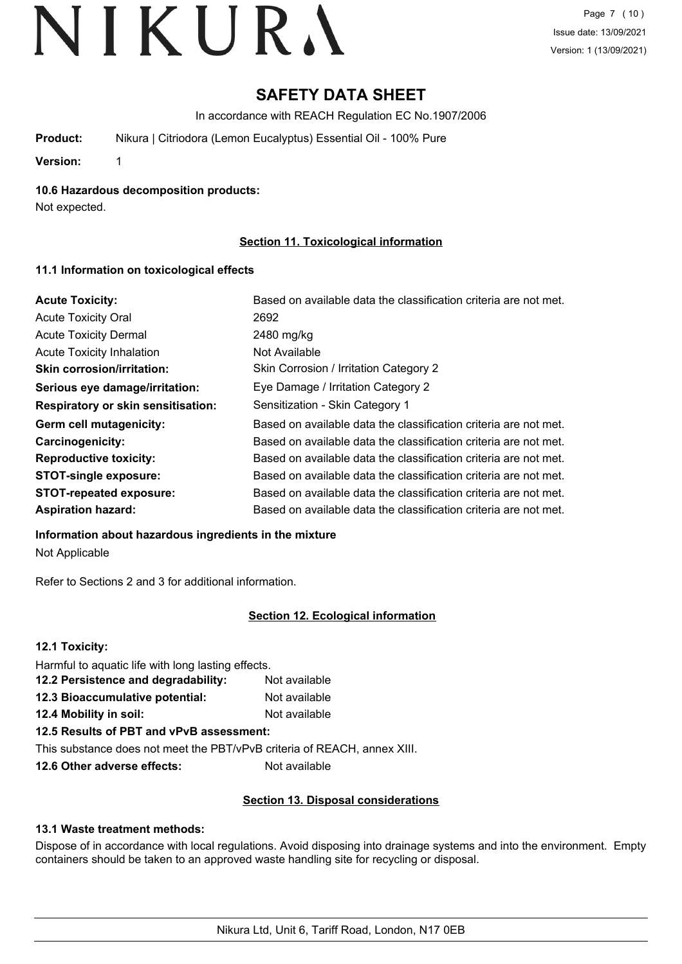# **SAFETY DATA SHEET**

In accordance with REACH Regulation EC No.1907/2006

**Product:** Nikura | Citriodora (Lemon Eucalyptus) Essential Oil - 100% Pure

**Version:** 1

**10.6 Hazardous decomposition products:**

Not expected.

# **Section 11. Toxicological information**

# **11.1 Information on toxicological effects**

| <b>Acute Toxicity:</b>                    | Based on available data the classification criteria are not met. |
|-------------------------------------------|------------------------------------------------------------------|
| <b>Acute Toxicity Oral</b>                | 2692                                                             |
| <b>Acute Toxicity Dermal</b>              | 2480 mg/kg                                                       |
| <b>Acute Toxicity Inhalation</b>          | Not Available                                                    |
| <b>Skin corrosion/irritation:</b>         | Skin Corrosion / Irritation Category 2                           |
| Serious eye damage/irritation:            | Eye Damage / Irritation Category 2                               |
| <b>Respiratory or skin sensitisation:</b> | Sensitization - Skin Category 1                                  |
| Germ cell mutagenicity:                   | Based on available data the classification criteria are not met. |
| <b>Carcinogenicity:</b>                   | Based on available data the classification criteria are not met. |
| <b>Reproductive toxicity:</b>             | Based on available data the classification criteria are not met. |
| <b>STOT-single exposure:</b>              | Based on available data the classification criteria are not met. |
| <b>STOT-repeated exposure:</b>            | Based on available data the classification criteria are not met. |
| <b>Aspiration hazard:</b>                 | Based on available data the classification criteria are not met. |

### **Information about hazardous ingredients in the mixture**

Not Applicable

Refer to Sections 2 and 3 for additional information.

# **Section 12. Ecological information**

| 12.1 Toxicity:                                                           |               |
|--------------------------------------------------------------------------|---------------|
| Harmful to aquatic life with long lasting effects.                       |               |
| 12.2 Persistence and degradability:                                      | Not available |
| 12.3 Bioaccumulative potential:                                          | Not available |
| 12.4 Mobility in soil:                                                   | Not available |
| 12.5 Results of PBT and vPvB assessment:                                 |               |
| This substance does not meet the PBT/vPvB criteria of REACH, annex XIII. |               |

**12.6 Other adverse effects:** Not available

# **Section 13. Disposal considerations**

# **13.1 Waste treatment methods:**

Dispose of in accordance with local regulations. Avoid disposing into drainage systems and into the environment. Empty containers should be taken to an approved waste handling site for recycling or disposal.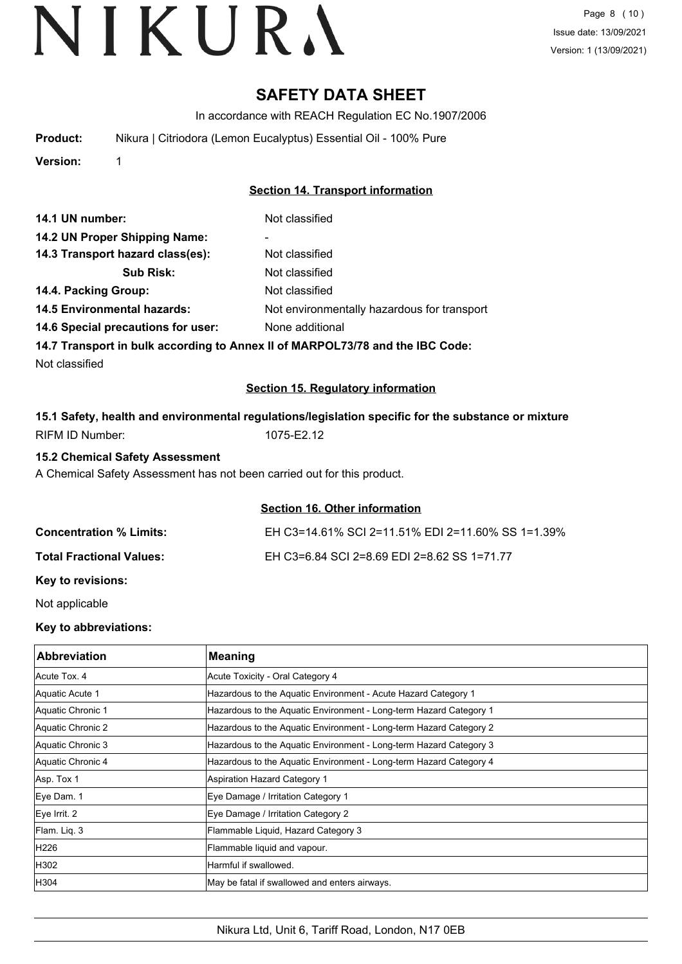# **SAFETY DATA SHEET**

In accordance with REACH Regulation EC No.1907/2006

| Product: | Nikura   Citriodora (Lemon Eucalyptus) Essential Oil - 100% Pure |
|----------|------------------------------------------------------------------|
|          |                                                                  |

**Version:** 1

# **Section 14. Transport information**

| 14.1 UN number:                    | Not classified                              |
|------------------------------------|---------------------------------------------|
| 14.2 UN Proper Shipping Name:      | ۰                                           |
| 14.3 Transport hazard class(es):   | Not classified                              |
| <b>Sub Risk:</b>                   | Not classified                              |
| 14.4. Packing Group:               | Not classified                              |
| <b>14.5 Environmental hazards:</b> | Not environmentally hazardous for transport |
| 14.6 Special precautions for user: | None additional                             |

**14.7 Transport in bulk according to Annex II of MARPOL73/78 and the IBC Code:**

Not classified

# **Section 15. Regulatory information**

|                 |            | 15.1 Safety, health and environmental regulations/legislation specific for the substance or mixture |  |
|-----------------|------------|-----------------------------------------------------------------------------------------------------|--|
| RIFM ID Number: | 1075-E2.12 |                                                                                                     |  |

### **15.2 Chemical Safety Assessment**

A Chemical Safety Assessment has not been carried out for this product.

### **Section 16. Other information**

| <b>Concentration % Limits:</b>  | EH C3=14.61% SCI 2=11.51% EDI 2=11.60% SS 1=1.39% |
|---------------------------------|---------------------------------------------------|
| <b>Total Fractional Values:</b> | EH C3=6.84 SCI 2=8.69 EDI 2=8.62 SS 1=71.77       |
|                                 |                                                   |

**Key to revisions:**

Not applicable

# **Key to abbreviations:**

| <b>Abbreviation</b> | <b>Meaning</b>                                                     |
|---------------------|--------------------------------------------------------------------|
| Acute Tox. 4        | Acute Toxicity - Oral Category 4                                   |
| Aquatic Acute 1     | Hazardous to the Aquatic Environment - Acute Hazard Category 1     |
| Aquatic Chronic 1   | Hazardous to the Aquatic Environment - Long-term Hazard Category 1 |
| Aquatic Chronic 2   | Hazardous to the Aquatic Environment - Long-term Hazard Category 2 |
| Aquatic Chronic 3   | Hazardous to the Aquatic Environment - Long-term Hazard Category 3 |
| Aquatic Chronic 4   | Hazardous to the Aquatic Environment - Long-term Hazard Category 4 |
| Asp. Tox 1          | <b>Aspiration Hazard Category 1</b>                                |
| Eye Dam. 1          | Eye Damage / Irritation Category 1                                 |
| Eye Irrit. 2        | Eye Damage / Irritation Category 2                                 |
| Flam. Liq. 3        | Flammable Liquid, Hazard Category 3                                |
| H226                | Flammable liquid and vapour.                                       |
| H302                | Harmful if swallowed.                                              |
| H304                | May be fatal if swallowed and enters airways.                      |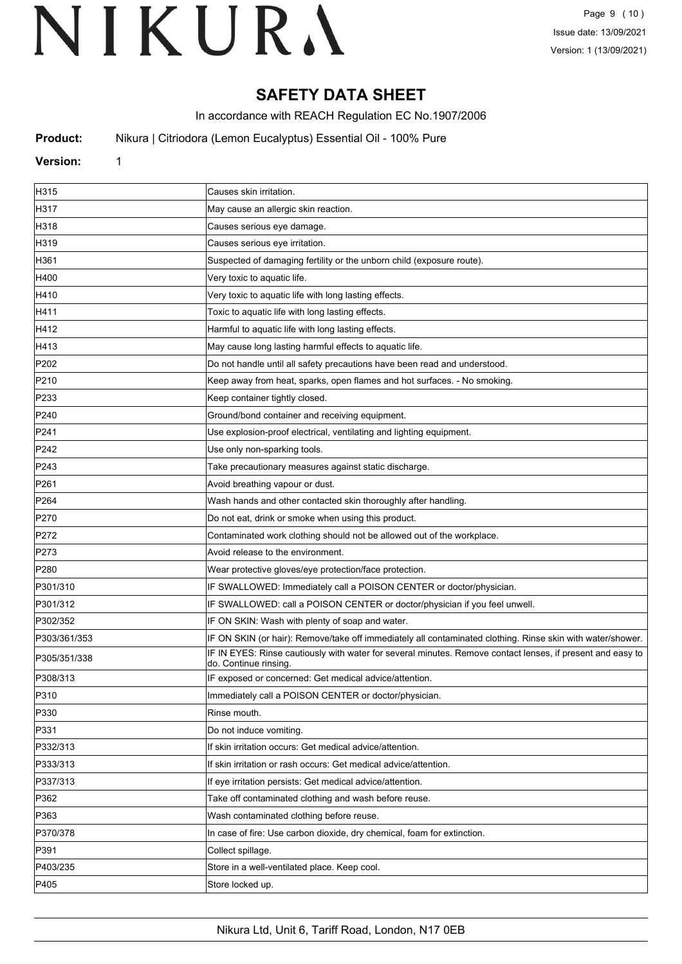# **SAFETY DATA SHEET**

In accordance with REACH Regulation EC No.1907/2006

**Product:** Nikura | Citriodora (Lemon Eucalyptus) Essential Oil - 100% Pure

# **Version:** 1

| H315             | Causes skin irritation.                                                                                                            |
|------------------|------------------------------------------------------------------------------------------------------------------------------------|
| H317             | May cause an allergic skin reaction.                                                                                               |
| H318             | Causes serious eye damage.                                                                                                         |
| H319             | Causes serious eye irritation.                                                                                                     |
| H361             | Suspected of damaging fertility or the unborn child (exposure route).                                                              |
| H400             | Very toxic to aquatic life.                                                                                                        |
| H410             | Very toxic to aquatic life with long lasting effects.                                                                              |
| H411             | Toxic to aquatic life with long lasting effects.                                                                                   |
| H412             | Harmful to aquatic life with long lasting effects.                                                                                 |
| H413             | May cause long lasting harmful effects to aquatic life.                                                                            |
| P202             | Do not handle until all safety precautions have been read and understood.                                                          |
| P210             | Keep away from heat, sparks, open flames and hot surfaces. - No smoking.                                                           |
| P233             | Keep container tightly closed.                                                                                                     |
| P240             | Ground/bond container and receiving equipment.                                                                                     |
| P241             | Use explosion-proof electrical, ventilating and lighting equipment.                                                                |
| P242             | Use only non-sparking tools.                                                                                                       |
| P243             | Take precautionary measures against static discharge.                                                                              |
| P261             | Avoid breathing vapour or dust.                                                                                                    |
| P <sub>264</sub> | Wash hands and other contacted skin thoroughly after handling.                                                                     |
| P270             | Do not eat, drink or smoke when using this product.                                                                                |
| P272             | Contaminated work clothing should not be allowed out of the workplace.                                                             |
| P273             | Avoid release to the environment.                                                                                                  |
| P280             | Wear protective gloves/eye protection/face protection.                                                                             |
| P301/310         | IF SWALLOWED: Immediately call a POISON CENTER or doctor/physician.                                                                |
| P301/312         | IF SWALLOWED: call a POISON CENTER or doctor/physician if you feel unwell.                                                         |
| P302/352         | IF ON SKIN: Wash with plenty of soap and water.                                                                                    |
| P303/361/353     | IF ON SKIN (or hair): Remove/take off immediately all contaminated clothing. Rinse skin with water/shower.                         |
| P305/351/338     | IF IN EYES: Rinse cautiously with water for several minutes. Remove contact lenses, if present and easy to<br>do. Continue rinsing |
| P308/313         | IF exposed or concerned: Get medical advice/attention.                                                                             |
| P310             | Immediately call a POISON CENTER or doctor/physician.                                                                              |
| P330             | Rinse mouth.                                                                                                                       |
| P331             | Do not induce vomiting.                                                                                                            |
| P332/313         | If skin irritation occurs: Get medical advice/attention.                                                                           |
| P333/313         | If skin irritation or rash occurs: Get medical advice/attention.                                                                   |
| P337/313         | If eye irritation persists: Get medical advice/attention.                                                                          |
| P362             | Take off contaminated clothing and wash before reuse.                                                                              |
| P363             | Wash contaminated clothing before reuse.                                                                                           |
| P370/378         | In case of fire: Use carbon dioxide, dry chemical, foam for extinction.                                                            |
| P391             | Collect spillage.                                                                                                                  |
| P403/235         | Store in a well-ventilated place. Keep cool.                                                                                       |
| P405             | Store locked up.                                                                                                                   |